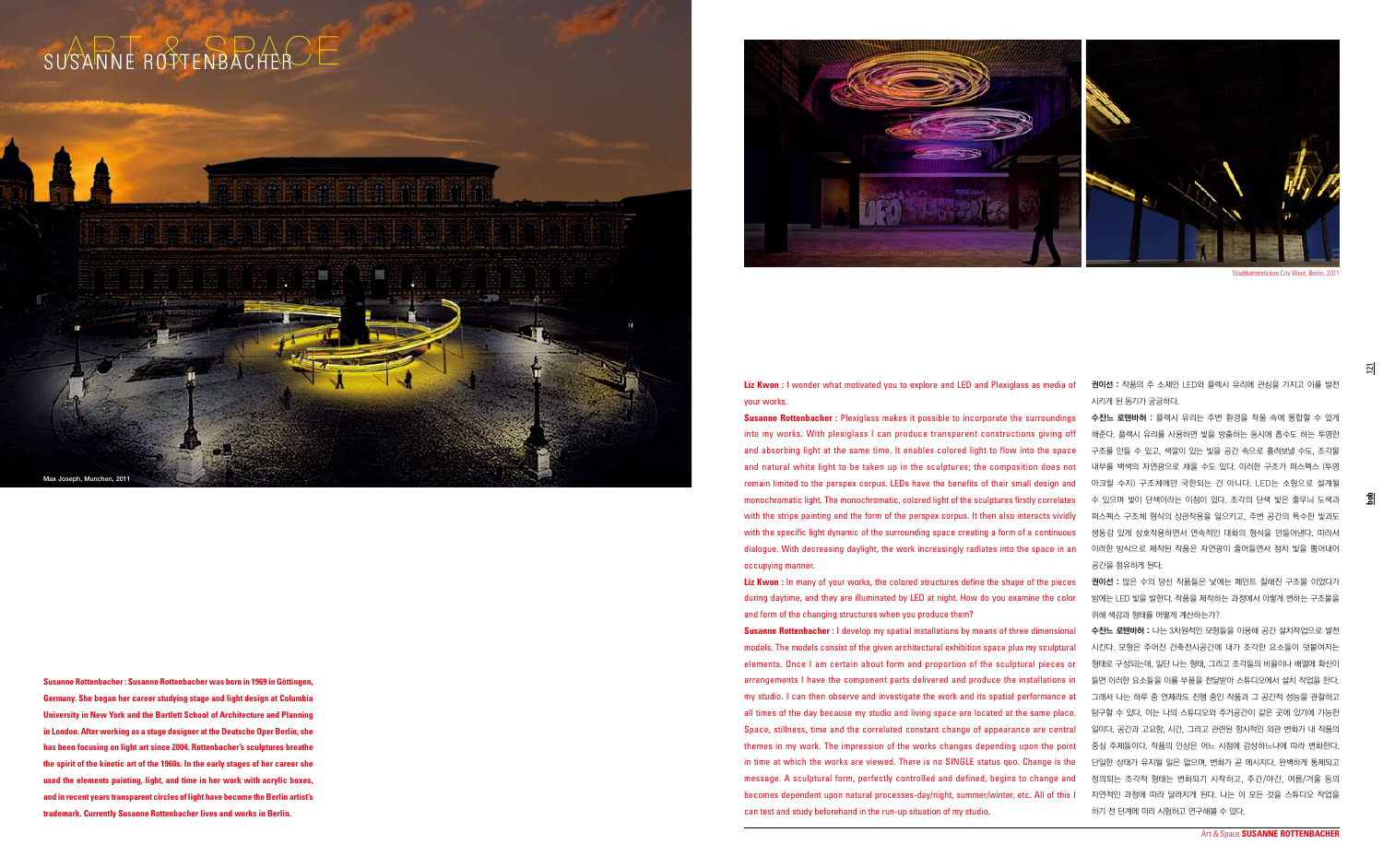**bob**

 $\overline{21}$ 

**Liz Kwon :** I wonder what motivated you to explore and LED and Plexiglass as media of your works.

권이선 : 작품의 주 소재인 LED와 플렉시 유리에 관심을 가지고 이를 발전 시키게 된 동기가 궁금하다.

**Susanne Rottenbacher :** Plexiglass makes it possible to incorporate the surroundings into my works. With plexiglass I can produce transparent constructions giving off and absorbing light at the same time. It enables colored light to flow into the space and natural white light to be taken up in the sculptures; the composition does not remain limited to the perspex corpus. LEDs have the benefits of their small design and monochromatic light. The monochromatic, colored light of the sculptures firstly correlates with the stripe painting and the form of the perspex corpus. It then also interacts vividly with the specific light dynamic of the surrounding space creating a form of a continuous dialogue. With decreasing daylight, the work increasingly radiates into the space in an 이러한 방식으로 제작된 작품은 자연광이 줄어들면서 점차 빛을 뿜어내어 occupying manner. 수잔느 로텐바허 : 플렉시 유리는 주변 환경을 작품 속에 통합할 수 있게 해준다. 플렉시 유리를 사용하면 빛을 방출하는 동시에 흡수도 하는 투명한 구조를 만들 수 있고, 색깔이 있는 빛을 공간 속으로 흘려보낼 수도, 조각물 내부를 백색의 자연광으로 채울 수도 있다. 이러한 구조가 퍼스펙스 (투명 아크릴 수지) 구조체에만 국한되는 건 아니다. LED는 소형으로 설계될 수 있으며 빛이 단색이라는 이점이 있다. 조각의 단색 빛은 줄무늬 도색과 퍼스펙스 구조체 형식의 상관작용을 일으키고, 주변 공간의 특수한 빛과도 생동감 있게 상호작용하면서 연속적인 대화의 형식을 만들어낸다. 따라서 공간을 점유하게 된다.

**Liz Kwon :** In many of your works, the colored structures define the shape of the pieces during daytime, and they are illuminated by LED at night. How do you examine the color and form of the changing structures when you produce them? **Susanne Rottenbacher :** I develop my spatial installations by means of three dimensional models. The models consist of the given architectural exhibition space plus my sculptural elements. Once I am certain about form and proportion of the sculptural pieces or arrangements I have the component parts delivered and produce the installations in my studio. I can then observe and investigate the work and its spatial performance at all times of the day because my studio and living space are located at the same place. Space, stillness, time and the correlated constant change of appearance are central themes in my work. The impression of the works changes depending upon the point in time at which the works are viewed. There is no SINGLE status quo. Change is the message. A sculptural form, perfectly controlled and defined, begins to change and becomes dependent upon natural processes-day/night, summer/winter, etc. All of this I can test and study beforehand in the run-up situation of my studio.

권이선 : 많은 수의 당신 작품들은 낮에는 페인트 칠해진 구조물 이었다가 밤에는 LED 빛을 발한다. 작품을 제작하는 과정에서 이렇게 변하는 구조물을 위해 색감과 형태를 어떻게 계산하는가?

수잔느 로텐바허 : 나는 3차원적인 모형들을 이용해 공간 설치작업으로 발전 시킨다. 모형은 주어진 건축전시공간에 내가 조각한 요소들이 덧붙여지는 형태로 구성되는데, 일단 나는 형태, 그리고 조각들의 비율이나 배열에 확신이 들면 이러한 요소들을 이룰 부품을 전달받아 스튜디오에서 설치 작업을 한다. 그래서 나는 하루 중 언제라도 진행 중인 작품과 그 공간적 성능을 관찰하고 탐구할 수 있다. 이는 나의 스튜디오와 주거공간이 같은 곳에 있기에 가능한 일이다. 공간과 고요함, 시간, 그리고 관련된 항시적인 외관 변화가 내 작품의 중심 주제들이다. 작품의 인상은 어느 시점에 감상하느냐에 따라 변화한다. 단일한 상태가 유지될 일은 없으며, 변화가 곧 메시지다. 완벽하게 통제되고 정의되는 조각적 형태는 변화되기 시작하고, 주간/야간, 여름/겨울 등의 자연적인 과정에 따라 달라지게 된다. 나는 이 모든 것을 스튜디오 작업을 하기 전 단계에 미리 시험하고 연구해볼 수 있다.

Stadtbahnbrücken City West, Berlin, 2011

**Susanne Rottenbacher : Susanne Rottenbacher was born in 1969 in Göttingen, Germany. She began her career studying stage and light design at Columbia University in New York and the Bartlett School of Architecture and Planning in London. After working as a stage designer at the Deutsche Oper Berlin, she has been focusing on light art since 2004. Rottenbacher's sculptures breathe the spirit of the kinetic art of the 1960s. In the early stages of her career she used the elements painting, light, and time in her work with acrylic boxes, and in recent years transparent circles of light have become the Berlin artist's trademark. Currently Susanne Rottenbacher lives and works in Berlin.**



## SUSANNE ROTTENBACHER

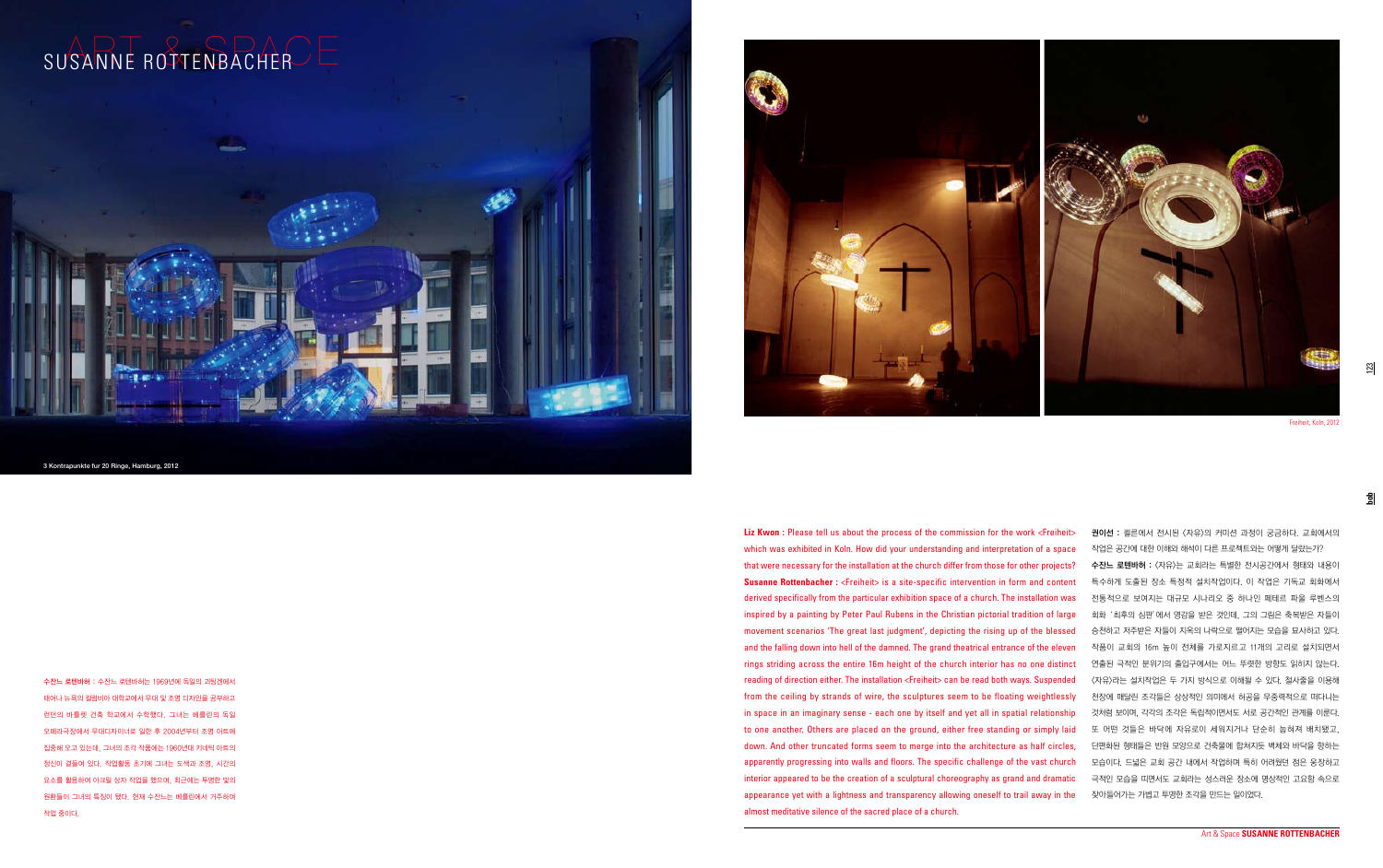123

**bob**

3 Kontrapunkte fur 20 Ringe, Hamburg, 2012



Freiheit, Koln, 2012

수잔느 로텐바허 : 수잔느 로텐바허는 1969년에 독일의 괴팅겐에서 태어나 뉴욕의 컬럼비아 대학교에서 무대 및 조명 디자인을 공부하고 런던의 바틀렛 건축 학교에서 수학했다. 그녀는 베를린의 독일 오페라극장에서 무대디자이너로 일한 후 2004년부터 조명 아트에 집중해 오고 있는데, 그녀의 조각 작품에는 1960년대 키네틱 아트의 정신이 곁들여 있다. 작업활동 초기에 그녀는 도색과 조명, 시간의 요소를 활용하여 아크릴 상자 작업을 했으며, 최근에는 투명한 빛의 원환들이 그녀의 특징이 됐다. 현재 수잔느는 베를린에서 거주하며 작업 중이다.



**Liz Kwon :** Please tell us about the process of the commission for the work <Freiheit> which was exhibited in Koln. How did your understanding and interpretation of a space that were necessary for the installation at the church differ from those for other projects? **Susanne Rottenbacher:** <Freiheit> is a site-specific intervention in form and content derived specifically from the particular exhibition space of a church. The installation was inspired by a painting by Peter Paul Rubens in the Christian pictorial tradition of large movement scenarios 'The great last judgment', depicting the rising up of the blessed and the falling down into hell of the damned. The grand theatrical entrance of the eleven rings striding across the entire 16m height of the church interior has no one distinct reading of direction either. The installation <Freiheit> can be read both ways. Suspended from the ceiling by strands of wire, the sculptures seem to be floating weightlessly in space in an imaginary sense - each one by itself and yet all in spatial relationship to one another. Others are placed on the ground, either free standing or simply laid down. And other truncated forms seem to merge into the architecture as half circles, apparently progressing into walls and floors. The specific challenge of the vast church interior appeared to be the creation of a sculptural choreography as grand and dramatic appearance yet with a lightness and transparency allowing oneself to trail away in the almost meditative silence of the sacred place of a church.

권이선 : 쾰른에서 전시된 <자유>의 커미션 과정이 궁금하다. 교회에서의 작업은 공간에 대한 이해와 해석이 다른 프로젝트와는 어떻게 달랐는가? 수잔느 로텐바허 : 〈자유〉는 교회라는 특별한 전시공간에서 형태와 내용이 특수하게 도출된 장소 특정적 설치작업이다. 이 작업은 기독교 회화에서 전통적으로 보여지는 대규모 시나리오 중 하나인 페테르 파울 루벤스의 회화 '최후의 심판'에서 영감을 받은 것인데, 그의 그림은 축복받은 자들이 승천하고 저주받은 자들이 지옥의 나락으로 떨어지는 모습을 묘사하고 있다. 작품이 교회의 16m 높이 전체를 가로지르고 11개의 고리로 설치되면서 연출된 극적인 분위기의 출입구에서는 어느 뚜렷한 방향도 읽히지 않는다. <자유>라는 설치작업은 두 가지 방식으로 이해될 수 있다. 철사줄을 이용해 천장에 매달린 조각들은 상상적인 의미에서 허공을 무중력적으로 떠다니는 것처럼 보이며, 각각의 조각은 독립적이면서도 서로 공간적인 관계를 이룬다. 또 어떤 것들은 바닥에 자유로이 세워지거나 단순히 눕혀져 배치됐고, 단편화된 형태들은 반원 모양으로 건축물에 합쳐지듯 벽체와 바닥을 향하는 모습이다. 드넓은 교회 공간 내에서 작업하며 특히 어려웠던 점은 웅장하고 극적인 모습을 띠면서도 교회라는 성스러운 장소에 명상적인 고요함 속으로 잦아들어가는 가볍고 투명한 조각을 만드는 일이었다.